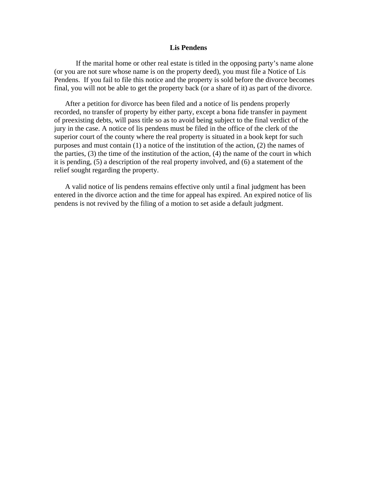## **Lis Pendens**

If the marital home or other real estate is titled in the opposing party's name alone (or you are not sure whose name is on the property deed), you must file a Notice of Lis Pendens. If you fail to file this notice and the property is sold before the divorce becomes final, you will not be able to get the property back (or a share of it) as part of the divorce.

After a petition for divorce has been filed and a notice of lis pendens properly recorded, no transfer of property by either party, except a bona fide transfer in payment of preexisting debts, will pass title so as to avoid being subject to the final verdict of the jury in the case. A notice of lis pendens must be filed in the office of the clerk of the superior court of the county where the real property is situated in a book kept for such purposes and must contain (1) a notice of the institution of the action, (2) the names of the parties, (3) the time of the institution of the action, (4) the name of the court in which it is pending, (5) a description of the real property involved, and (6) a statement of the relief sought regarding the property.

A valid notice of lis pendens remains effective only until a final judgment has been entered in the divorce action and the time for appeal has expired. An expired notice of lis pendens is not revived by the filing of a motion to set aside a default judgment.